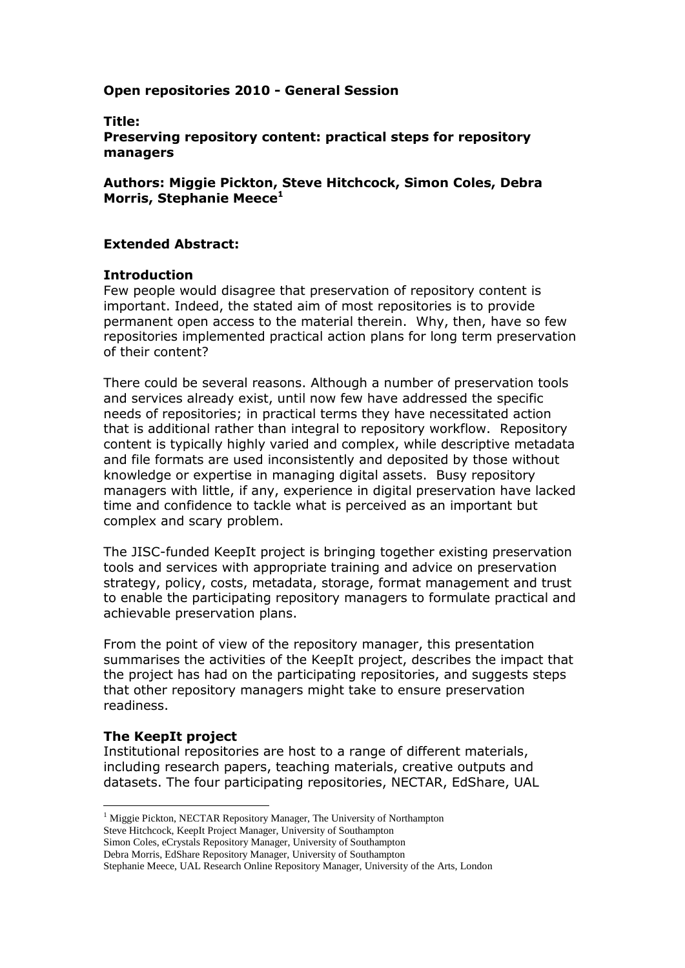# **Open repositories 2010 - General Session**

### **Title:**

**Preserving repository content: practical steps for repository managers**

**Authors: Miggie Pickton, Steve Hitchcock, Simon Coles, Debra Morris, Stephanie Meece<sup>1</sup>**

### **Extended Abstract:**

#### **Introduction**

Few people would disagree that preservation of repository content is important. Indeed, the stated aim of most repositories is to provide permanent open access to the material therein. Why, then, have so few repositories implemented practical action plans for long term preservation of their content?

There could be several reasons. Although a number of preservation tools and services already exist, until now few have addressed the specific needs of repositories; in practical terms they have necessitated action that is additional rather than integral to repository workflow. Repository content is typically highly varied and complex, while descriptive metadata and file formats are used inconsistently and deposited by those without knowledge or expertise in managing digital assets. Busy repository managers with little, if any, experience in digital preservation have lacked time and confidence to tackle what is perceived as an important but complex and scary problem.

The JISC-funded KeepIt project is bringing together existing preservation tools and services with appropriate training and advice on preservation strategy, policy, costs, metadata, storage, format management and trust to enable the participating repository managers to formulate practical and achievable preservation plans.

From the point of view of the repository manager, this presentation summarises the activities of the KeepIt project, describes the impact that the project has had on the participating repositories, and suggests steps that other repository managers might take to ensure preservation readiness.

### **The KeepIt project**

1

Institutional repositories are host to a range of different materials, including research papers, teaching materials, creative outputs and datasets. The four participating repositories, NECTAR, EdShare, UAL

Steve Hitchcock, KeepIt Project Manager, University of Southampton

Stephanie Meece, UAL Research Online Repository Manager, University of the Arts, London

<sup>&</sup>lt;sup>1</sup> Miggie Pickton, NECTAR Repository Manager, The University of Northampton

Simon Coles, eCrystals Repository Manager, University of Southampton Debra Morris, EdShare Repository Manager, University of Southampton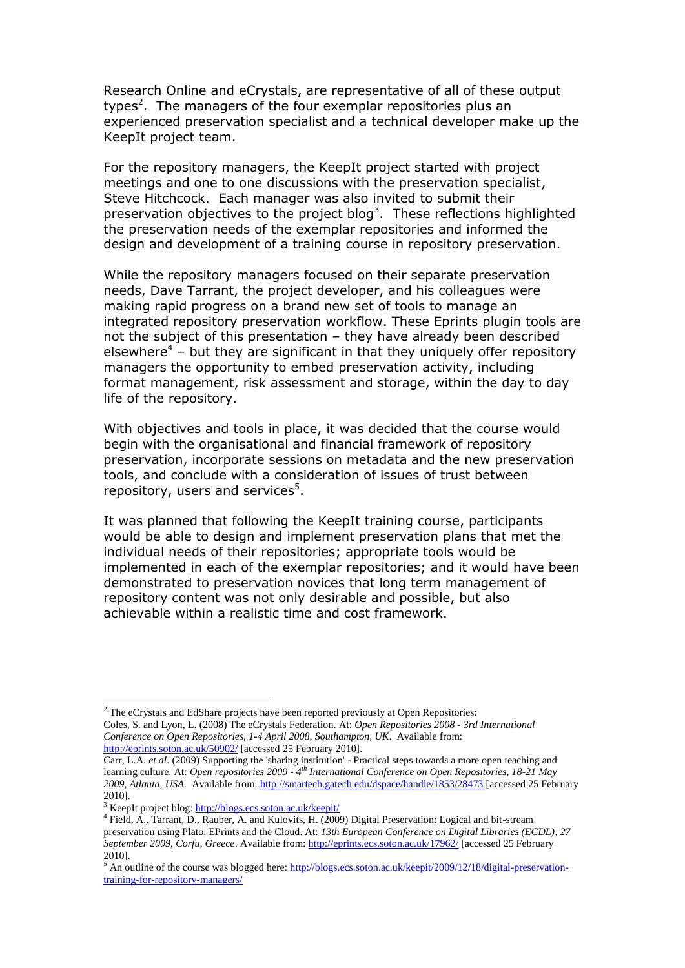Research Online and eCrystals, are representative of all of these output types<sup>2</sup>. The managers of the four exemplar repositories plus an experienced preservation specialist and a technical developer make up the KeepIt project team.

For the repository managers, the KeepIt project started with project meetings and one to one discussions with the preservation specialist, Steve Hitchcock. Each manager was also invited to submit their preservation objectives to the project blog<sup>3</sup>. These reflections highlighted the preservation needs of the exemplar repositories and informed the design and development of a training course in repository preservation.

While the repository managers focused on their separate preservation needs, Dave Tarrant, the project developer, and his colleagues were making rapid progress on a brand new set of tools to manage an integrated repository preservation workflow. These Eprints plugin tools are not the subject of this presentation – they have already been described elsewhere<sup>4</sup> – but they are significant in that they uniquely offer repository managers the opportunity to embed preservation activity, including format management, risk assessment and storage, within the day to day life of the repository.

With objectives and tools in place, it was decided that the course would begin with the organisational and financial framework of repository preservation, incorporate sessions on metadata and the new preservation tools, and conclude with a consideration of issues of trust between repository, users and services<sup>5</sup>.

It was planned that following the KeepIt training course, participants would be able to design and implement preservation plans that met the individual needs of their repositories; appropriate tools would be implemented in each of the exemplar repositories; and it would have been demonstrated to preservation novices that long term management of repository content was not only desirable and possible, but also achievable within a realistic time and cost framework.

<http://eprints.soton.ac.uk/50902/> [accessed 25 February 2010].

<u>.</u>

 $2$  The eCrystals and EdShare projects have been reported previously at Open Repositories: Coles, S. and Lyon, L. (2008) The eCrystals Federation. At: *Open Repositories 2008 - 3rd International Conference on Open Repositories, 1-4 April 2008, Southampton, UK*. Available from:

Carr, L.A. *et al*. (2009) Supporting the 'sharing institution' - Practical steps towards a more open teaching and learning culture. At: *Open repositories 2009 - 4 th International Conference on Open Repositories, 18-21 May 2009, Atlanta, USA*. Available from:<http://smartech.gatech.edu/dspace/handle/1853/28473> [accessed 25 February 2010].

<sup>3</sup> KeepIt project blog:<http://blogs.ecs.soton.ac.uk/keepit/>

<sup>&</sup>lt;sup>4</sup> Field, A., Tarrant, D., Rauber, A. and Kulovits, H. (2009) Digital Preservation: Logical and bit-stream preservation using Plato, EPrints and the Cloud. At: *13th European Conference on Digital Libraries (ECDL)*, *27 September 2009, Corfu, Greece*. Available from:<http://eprints.ecs.soton.ac.uk/17962/> [accessed 25 February 2010].

<sup>&</sup>lt;sup>5</sup> An outline of the course was blogged here: [http://blogs.ecs.soton.ac.uk/keepit/2009/12/18/digital-preservation](http://blogs.ecs.soton.ac.uk/keepit/2009/12/18/digital-preservation-training-for-repository-managers/)[training-for-repository-managers/](http://blogs.ecs.soton.ac.uk/keepit/2009/12/18/digital-preservation-training-for-repository-managers/)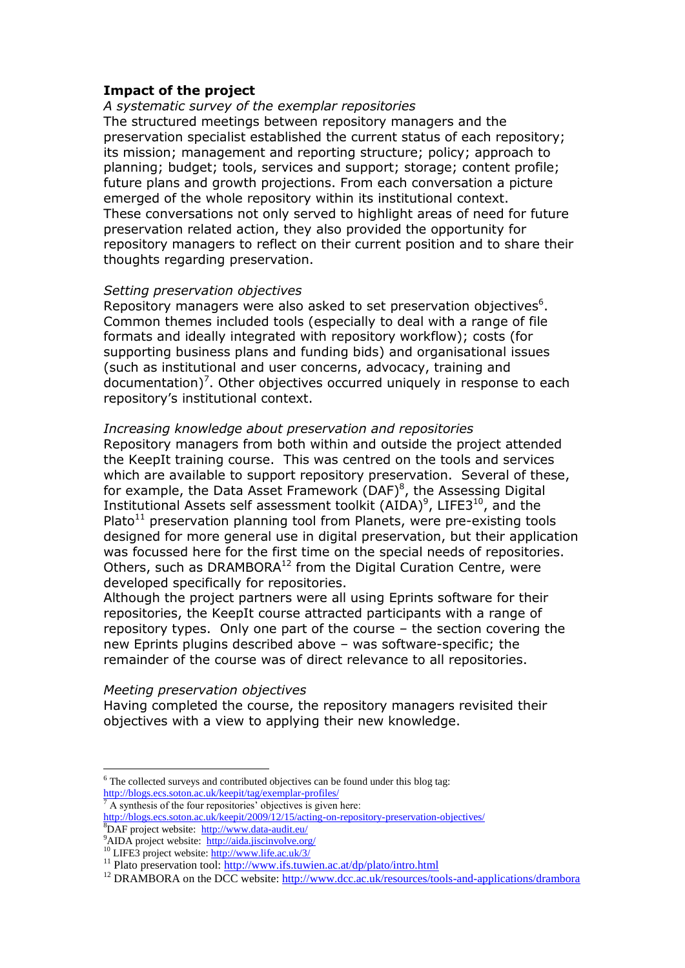# **Impact of the project**

#### *A systematic survey of the exemplar repositories*

The structured meetings between repository managers and the preservation specialist established the current status of each repository; its mission; management and reporting structure; policy; approach to planning; budget; tools, services and support; storage; content profile; future plans and growth projections. From each conversation a picture emerged of the whole repository within its institutional context. These conversations not only served to highlight areas of need for future preservation related action, they also provided the opportunity for repository managers to reflect on their current position and to share their thoughts regarding preservation.

### *Setting preservation objectives*

Repository managers were also asked to set preservation objectives $6$ . Common themes included tools (especially to deal with a range of file formats and ideally integrated with repository workflow); costs (for supporting business plans and funding bids) and organisational issues (such as institutional and user concerns, advocacy, training and  $documentation)<sup>7</sup>$ . Other objectives occurred uniquely in response to each repository's institutional context.

#### *Increasing knowledge about preservation and repositories*

Repository managers from both within and outside the project attended the KeepIt training course. This was centred on the tools and services which are available to support repository preservation. Several of these, for example, the Data Asset Framework (DAF) $\delta$ , the Assessing Digital Institutional Assets self assessment toolkit (AIDA) $^9$ , LIFE3 $^{10}$ , and the Plato<sup>11</sup> preservation planning tool from Planets, were pre-existing tools designed for more general use in digital preservation, but their application was focussed here for the first time on the special needs of repositories. Others, such as DRAMBORA<sup>12</sup> from the Digital Curation Centre, were developed specifically for repositories.

Although the project partners were all using Eprints software for their repositories, the KeepIt course attracted participants with a range of repository types. Only one part of the course – the section covering the new Eprints plugins described above – was software-specific; the remainder of the course was of direct relevance to all repositories.

#### *Meeting preservation objectives*

1

Having completed the course, the repository managers revisited their objectives with a view to applying their new knowledge.

<sup>&</sup>lt;sup>6</sup> The collected surveys and contributed objectives can be found under this blog tag: <http://blogs.ecs.soton.ac.uk/keepit/tag/exemplar-profiles/>

 $\frac{7}{4}$  A synthesis of the four repositories' objectives is given here:

<http://blogs.ecs.soton.ac.uk/keepit/2009/12/15/acting-on-repository-preservation-objectives/> <sup>8</sup>DAF project website: <http://www.data-audit.eu/>

<sup>&</sup>lt;sup>9</sup>AIDA project website:<http://aida.jiscinvolve.org/>

<sup>10</sup> LIFE3 project website[: http://www.life.ac.uk/3/](http://www.life.ac.uk/3/)

<sup>&</sup>lt;sup>11</sup> Plato preservation tool:<http://www.ifs.tuwien.ac.at/dp/plato/intro.html>

<sup>&</sup>lt;sup>12</sup> DRAMBORA on the DCC website:  $\frac{http://www.dcc.ac.uk/resources/tools-and-applications/drambora}$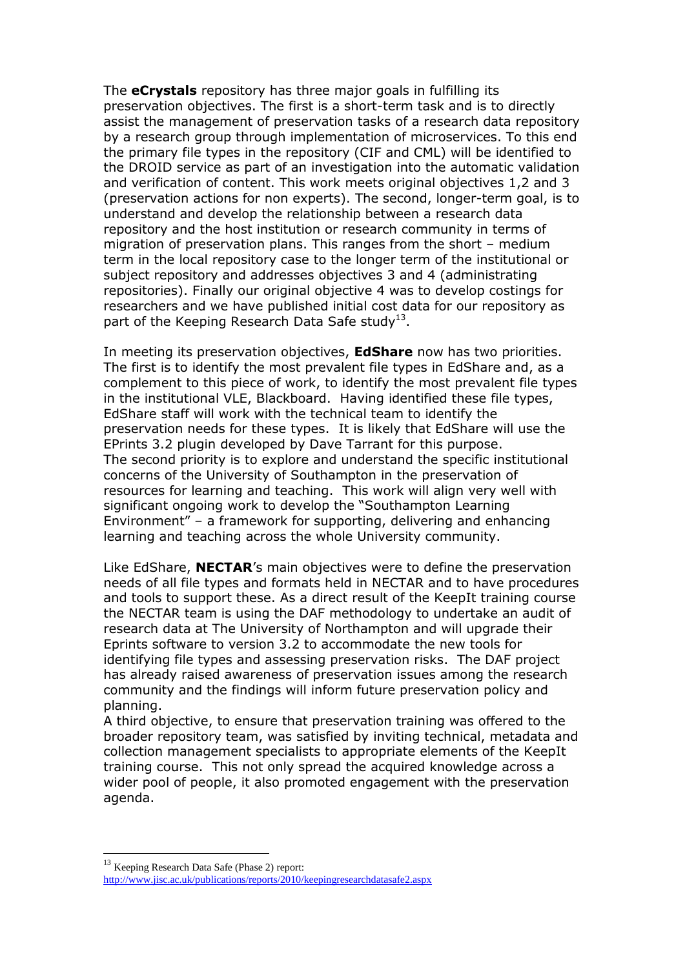The **eCrystals** repository has three major goals in fulfilling its preservation objectives. The first is a short-term task and is to directly assist the management of preservation tasks of a research data repository by a research group through implementation of microservices. To this end the primary file types in the repository (CIF and CML) will be identified to the DROID service as part of an investigation into the automatic validation and verification of content. This work meets original objectives 1,2 and 3 (preservation actions for non experts). The second, longer-term goal, is to understand and develop the relationship between a research data repository and the host institution or research community in terms of migration of preservation plans. This ranges from the short – medium term in the local repository case to the longer term of the institutional or subject repository and addresses objectives 3 and 4 (administrating repositories). Finally our original objective 4 was to develop costings for researchers and we have published initial cost data for our repository as part of the Keeping Research Data Safe study<sup>13</sup>.

In meeting its preservation objectives, **EdShare** now has two priorities. The first is to identify the most prevalent file types in EdShare and, as a complement to this piece of work, to identify the most prevalent file types in the institutional VLE, Blackboard. Having identified these file types, EdShare staff will work with the technical team to identify the preservation needs for these types. It is likely that EdShare will use the EPrints 3.2 plugin developed by Dave Tarrant for this purpose. The second priority is to explore and understand the specific institutional concerns of the University of Southampton in the preservation of resources for learning and teaching. This work will align very well with significant ongoing work to develop the "Southampton Learning Environment" – a framework for supporting, delivering and enhancing learning and teaching across the whole University community.

Like EdShare, **NECTAR**'s main objectives were to define the preservation needs of all file types and formats held in NECTAR and to have procedures and tools to support these. As a direct result of the KeepIt training course the NECTAR team is using the DAF methodology to undertake an audit of research data at The University of Northampton and will upgrade their Eprints software to version 3.2 to accommodate the new tools for identifying file types and assessing preservation risks. The DAF project has already raised awareness of preservation issues among the research community and the findings will inform future preservation policy and planning.

A third objective, to ensure that preservation training was offered to the broader repository team, was satisfied by inviting technical, metadata and collection management specialists to appropriate elements of the KeepIt training course. This not only spread the acquired knowledge across a wider pool of people, it also promoted engagement with the preservation agenda.

<u>.</u>

<sup>&</sup>lt;sup>13</sup> Keeping Research Data Safe (Phase 2) report: <http://www.jisc.ac.uk/publications/reports/2010/keepingresearchdatasafe2.aspx>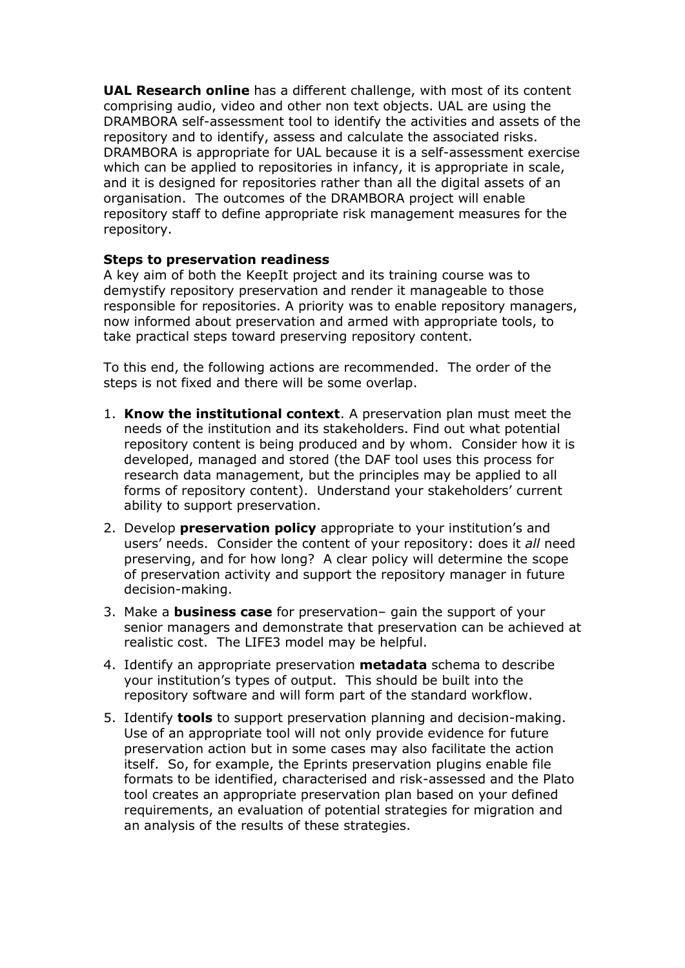**UAL Research online** has a different challenge, with most of its content comprising audio, video and other non text objects. UAL are using the DRAMBORA self-assessment tool to identify the activities and assets of the repository and to identify, assess and calculate the associated risks. DRAMBORA is appropriate for UAL because it is a self-assessment exercise which can be applied to repositories in infancy, it is appropriate in scale, and it is designed for repositories rather than all the digital assets of an organisation. The outcomes of the DRAMBORA project will enable repository staff to define appropriate risk management measures for the repository.

# **Steps to preservation readiness**

A key aim of both the KeepIt project and its training course was to demystify repository preservation and render it manageable to those responsible for repositories. A priority was to enable repository managers, now informed about preservation and armed with appropriate tools, to take practical steps toward preserving repository content.

To this end, the following actions are recommended. The order of the steps is not fixed and there will be some overlap.

- 1. **Know the institutional context**. A preservation plan must meet the needs of the institution and its stakeholders. Find out what potential repository content is being produced and by whom. Consider how it is developed, managed and stored (the DAF tool uses this process for research data management, but the principles may be applied to all forms of repository content). Understand your stakeholders' current ability to support preservation.
- 2. Develop **preservation policy** appropriate to your institution's and users' needs. Consider the content of your repository: does it *all* need preserving, and for how long? A clear policy will determine the scope of preservation activity and support the repository manager in future decision-making.
- 3. Make a **business case** for preservation– gain the support of your senior managers and demonstrate that preservation can be achieved at realistic cost. The LIFE3 model may be helpful.
- 4. Identify an appropriate preservation **metadata** schema to describe your institution's types of output. This should be built into the repository software and will form part of the standard workflow.
- 5. Identify **tools** to support preservation planning and decision-making. Use of an appropriate tool will not only provide evidence for future preservation action but in some cases may also facilitate the action itself. So, for example, the Eprints preservation plugins enable file formats to be identified, characterised and risk-assessed and the Plato tool creates an appropriate preservation plan based on your defined requirements, an evaluation of potential strategies for migration and an analysis of the results of these strategies.